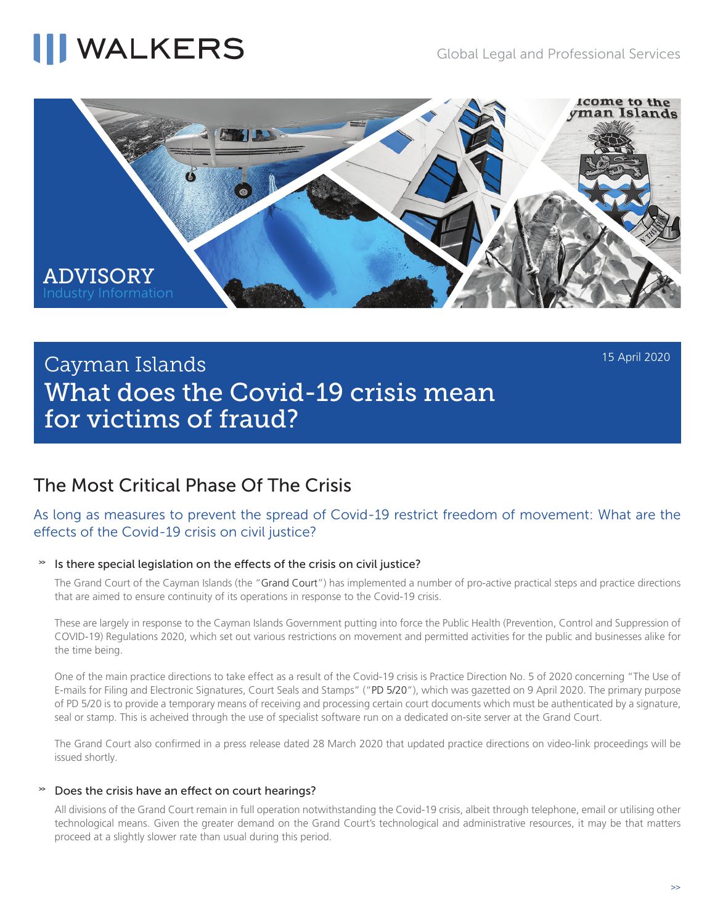# **WALKERS**



15 April 2020

# Cayman Islands What does the Covid-19 crisis mean for victims of fraud?

## The Most Critical Phase Of The Crisis

### As long as measures to prevent the spread of Covid-19 restrict freedom of movement: What are the effects of the Covid-19 crisis on civil justice?

#### Is there special legislation on the effects of the crisis on civil justice?

The Grand Court of the Cayman Islands (the "Grand Court") has implemented a number of pro-active practical steps and practice directions that are aimed to ensure continuity of its operations in response to the Covid-19 crisis.

These are largely in response to the Cayman Islands Government putting into force the Public Health (Prevention, Control and Suppression of COVID-19) Regulations 2020, which set out various restrictions on movement and permitted activities for the public and businesses alike for the time being.

One of the main practice directions to take effect as a result of the Covid-19 crisis is Practice Direction No. 5 of 2020 concerning "The Use of E-mails for Filing and Electronic Signatures, Court Seals and Stamps" ("PD 5/20"), which was gazetted on 9 April 2020. The primary purpose of PD 5/20 is to provide a temporary means of receiving and processing certain court documents which must be authenticated by a signature, seal or stamp. This is acheived through the use of specialist software run on a dedicated on-site server at the Grand Court.

The Grand Court also confirmed in a press release dated 28 March 2020 that updated practice directions on video-link proceedings will be issued shortly.

#### >> Does the crisis have an effect on court hearings?

All divisions of the Grand Court remain in full operation notwithstanding the Covid-19 crisis, albeit through telephone, email or utilising other technological means. Given the greater demand on the Grand Court's technological and administrative resources, it may be that matters proceed at a slightly slower rate than usual during this period.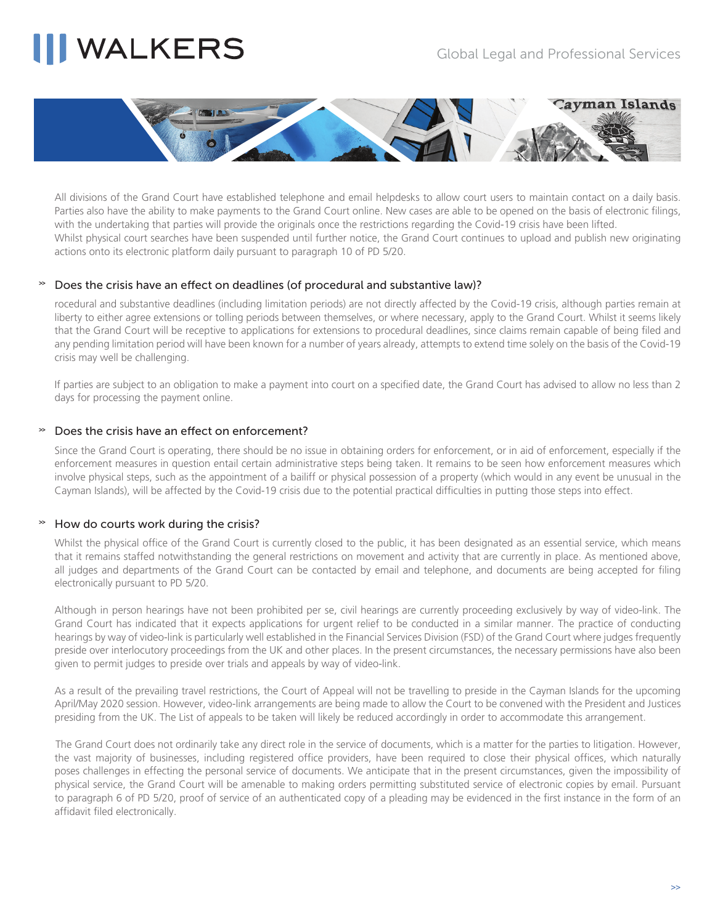# **WALKERS**



All divisions of the Grand Court have established telephone and email helpdesks to allow court users to maintain contact on a daily basis. Parties also have the ability to make payments to the Grand Court online. New cases are able to be opened on the basis of electronic filings, with the undertaking that parties will provide the originals once the restrictions regarding the Covid-19 crisis have been lifted. Whilst physical court searches have been suspended until further notice, the Grand Court continues to upload and publish new originating actions onto its electronic platform daily pursuant to paragraph 10 of PD 5/20.

#### >> Does the crisis have an effect on deadlines (of procedural and substantive law)?

rocedural and substantive deadlines (including limitation periods) are not directly affected by the Covid-19 crisis, although parties remain at liberty to either agree extensions or tolling periods between themselves, or where necessary, apply to the Grand Court. Whilst it seems likely that the Grand Court will be receptive to applications for extensions to procedural deadlines, since claims remain capable of being filed and any pending limitation period will have been known for a number of years already, attempts to extend time solely on the basis of the Covid-19 crisis may well be challenging.

If parties are subject to an obligation to make a payment into court on a specified date, the Grand Court has advised to allow no less than 2 days for processing the payment online.

#### Does the crisis have an effect on enforcement?

Since the Grand Court is operating, there should be no issue in obtaining orders for enforcement, or in aid of enforcement, especially if the enforcement measures in question entail certain administrative steps being taken. It remains to be seen how enforcement measures which involve physical steps, such as the appointment of a bailiff or physical possession of a property (which would in any event be unusual in the Cayman Islands), will be affected by the Covid-19 crisis due to the potential practical difficulties in putting those steps into effect.

#### How do courts work during the crisis?

Whilst the physical office of the Grand Court is currently closed to the public, it has been designated as an essential service, which means that it remains staffed notwithstanding the general restrictions on movement and activity that are currently in place. As mentioned above, all judges and departments of the Grand Court can be contacted by email and telephone, and documents are being accepted for filing electronically pursuant to PD 5/20.

Although in person hearings have not been prohibited per se, civil hearings are currently proceeding exclusively by way of video-link. The Grand Court has indicated that it expects applications for urgent relief to be conducted in a similar manner. The practice of conducting hearings by way of video-link is particularly well established in the Financial Services Division (FSD) of the Grand Court where judges frequently preside over interlocutory proceedings from the UK and other places. In the present circumstances, the necessary permissions have also been given to permit judges to preside over trials and appeals by way of video-link.

As a result of the prevailing travel restrictions, the Court of Appeal will not be travelling to preside in the Cayman Islands for the upcoming April/May 2020 session. However, video-link arrangements are being made to allow the Court to be convened with the President and Justices presiding from the UK. The List of appeals to be taken will likely be reduced accordingly in order to accommodate this arrangement.

 The Grand Court does not ordinarily take any direct role in the service of documents, which is a matter for the parties to litigation. However, the vast majority of businesses, including registered office providers, have been required to close their physical offices, which naturally poses challenges in effecting the personal service of documents. We anticipate that in the present circumstances, given the impossibility of physical service, the Grand Court will be amenable to making orders permitting substituted service of electronic copies by email. Pursuant to paragraph 6 of PD 5/20, proof of service of an authenticated copy of a pleading may be evidenced in the first instance in the form of an affidavit filed electronically.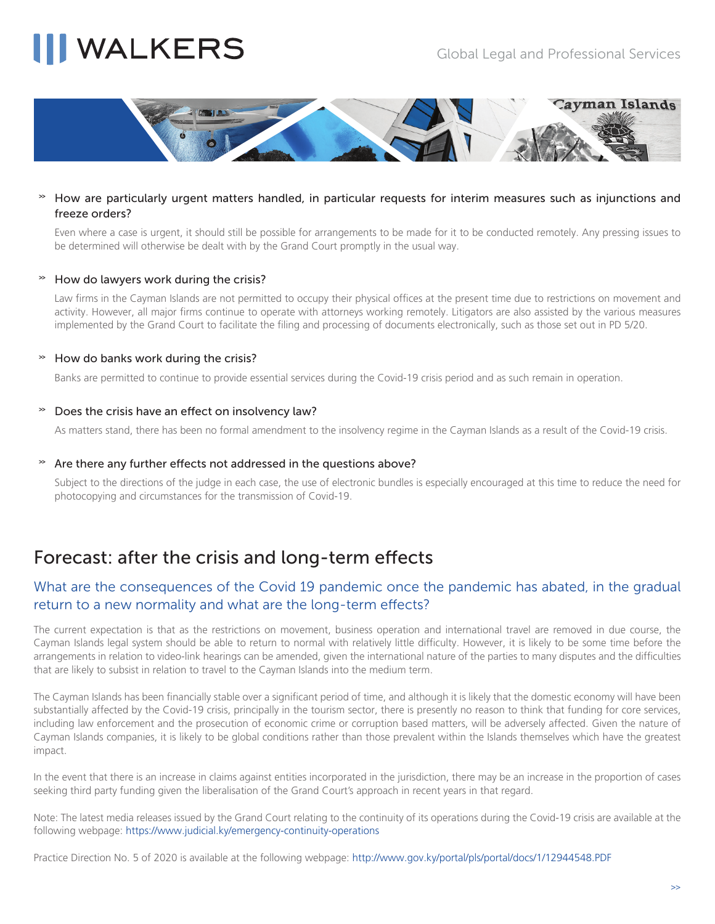# **WALKERS**



#### How are particularly urgent matters handled, in particular requests for interim measures such as injunctions and freeze orders?

Even where a case is urgent, it should still be possible for arrangements to be made for it to be conducted remotely. Any pressing issues to be determined will otherwise be dealt with by the Grand Court promptly in the usual way.

#### $\rightarrow$  How do lawyers work during the crisis?

Law firms in the Cayman Islands are not permitted to occupy their physical offices at the present time due to restrictions on movement and activity. However, all major firms continue to operate with attorneys working remotely. Litigators are also assisted by the various measures implemented by the Grand Court to facilitate the filing and processing of documents electronically, such as those set out in PD 5/20.

#### >> How do banks work during the crisis?

Banks are permitted to continue to provide essential services during the Covid-19 crisis period and as such remain in operation.

#### >> Does the crisis have an effect on insolvency law?

As matters stand, there has been no formal amendment to the insolvency regime in the Cayman Islands as a result of the Covid-19 crisis.

#### >> Are there any further effects not addressed in the questions above?

Subject to the directions of the judge in each case, the use of electronic bundles is especially encouraged at this time to reduce the need for photocopying and circumstances for the transmission of Covid-19.

## Forecast: after the crisis and long-term effects

### What are the consequences of the Covid 19 pandemic once the pandemic has abated, in the gradual return to a new normality and what are the long-term effects?

The current expectation is that as the restrictions on movement, business operation and international travel are removed in due course, the Cayman Islands legal system should be able to return to normal with relatively little difficulty. However, it is likely to be some time before the arrangements in relation to video-link hearings can be amended, given the international nature of the parties to many disputes and the difficulties that are likely to subsist in relation to travel to the Cayman Islands into the medium term.

The Cayman Islands has been financially stable over a significant period of time, and although it is likely that the domestic economy will have been substantially affected by the Covid-19 crisis, principally in the tourism sector, there is presently no reason to think that funding for core services, including law enforcement and the prosecution of economic crime or corruption based matters, will be adversely affected. Given the nature of Cayman Islands companies, it is likely to be global conditions rather than those prevalent within the Islands themselves which have the greatest impact.

In the event that there is an increase in claims against entities incorporated in the jurisdiction, there may be an increase in the proportion of cases seeking third party funding given the liberalisation of the Grand Court's approach in recent years in that regard.

Note: The latest media releases issued by the Grand Court relating to the continuity of its operations during the Covid-19 crisis are available at the following webpage: <https://www.judicial.ky/emergency-continuity-operations>

Practice Direction No. 5 of 2020 is available at the following webpage: <http://www.gov.ky/portal/pls/portal/docs/1/12944548.PDF>